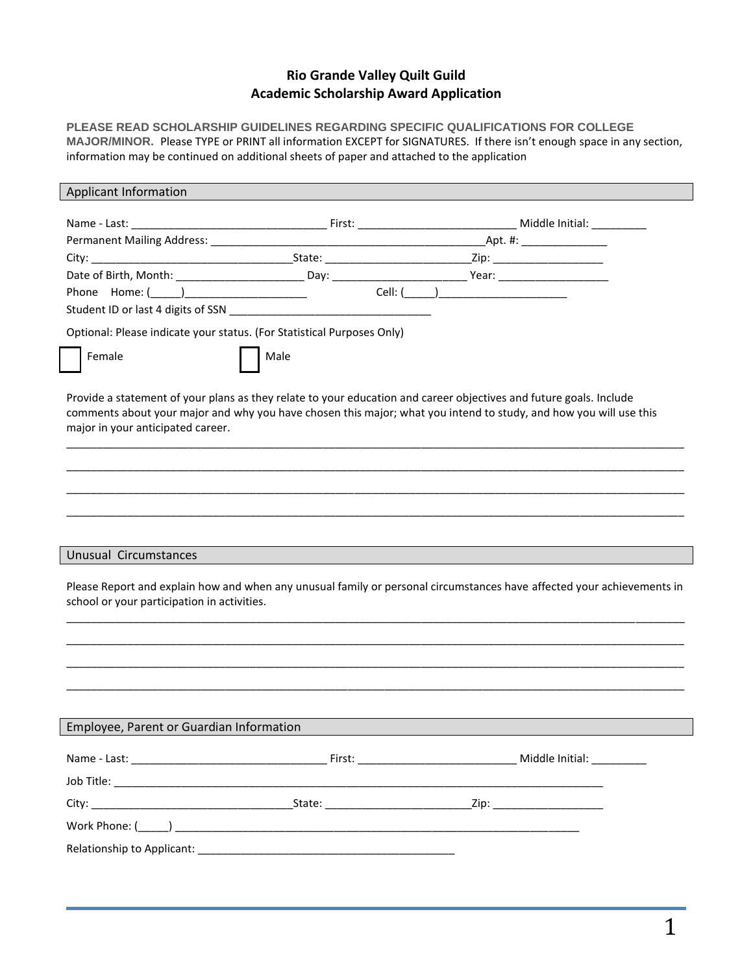## **Rio Grande Valley Quilt Guild Academic Scholarship Award Application**

**PLEASE READ SCHOLARSHIP GUIDELINES REGARDING SPECIFIC QUALIFICATIONS FOR COLLEGE MAJOR/MINOR.** Please TYPE or PRINT all information EXCEPT for SIGNATURES. If there isn't enough space in any section, information may be continued on additional sheets of paper and attached to the application

| Applicant Information                       |                                                                        |                                                                                                                                                                                                                                         |
|---------------------------------------------|------------------------------------------------------------------------|-----------------------------------------------------------------------------------------------------------------------------------------------------------------------------------------------------------------------------------------|
|                                             |                                                                        |                                                                                                                                                                                                                                         |
|                                             |                                                                        |                                                                                                                                                                                                                                         |
|                                             |                                                                        |                                                                                                                                                                                                                                         |
|                                             |                                                                        |                                                                                                                                                                                                                                         |
|                                             |                                                                        | Date of Birth, Month: ___________________________Day: ___________________________Year: _______________________                                                                                                                          |
|                                             |                                                                        |                                                                                                                                                                                                                                         |
|                                             |                                                                        |                                                                                                                                                                                                                                         |
|                                             | Optional: Please indicate your status. (For Statistical Purposes Only) |                                                                                                                                                                                                                                         |
| Female                                      | Male                                                                   |                                                                                                                                                                                                                                         |
| major in your anticipated career.           |                                                                        | Provide a statement of your plans as they relate to your education and career objectives and future goals. Include<br>comments about your major and why you have chosen this major; what you intend to study, and how you will use this |
|                                             |                                                                        |                                                                                                                                                                                                                                         |
|                                             |                                                                        |                                                                                                                                                                                                                                         |
| <b>Unusual Circumstances</b>                |                                                                        |                                                                                                                                                                                                                                         |
| school or your participation in activities. |                                                                        | Please Report and explain how and when any unusual family or personal circumstances have affected your achievements in                                                                                                                  |
|                                             |                                                                        |                                                                                                                                                                                                                                         |
|                                             |                                                                        |                                                                                                                                                                                                                                         |
|                                             |                                                                        |                                                                                                                                                                                                                                         |
|                                             |                                                                        |                                                                                                                                                                                                                                         |
| Employee, Parent or Guardian Information    |                                                                        |                                                                                                                                                                                                                                         |
|                                             |                                                                        |                                                                                                                                                                                                                                         |
|                                             |                                                                        |                                                                                                                                                                                                                                         |
|                                             |                                                                        |                                                                                                                                                                                                                                         |
|                                             |                                                                        |                                                                                                                                                                                                                                         |
|                                             |                                                                        |                                                                                                                                                                                                                                         |
|                                             |                                                                        |                                                                                                                                                                                                                                         |
|                                             |                                                                        |                                                                                                                                                                                                                                         |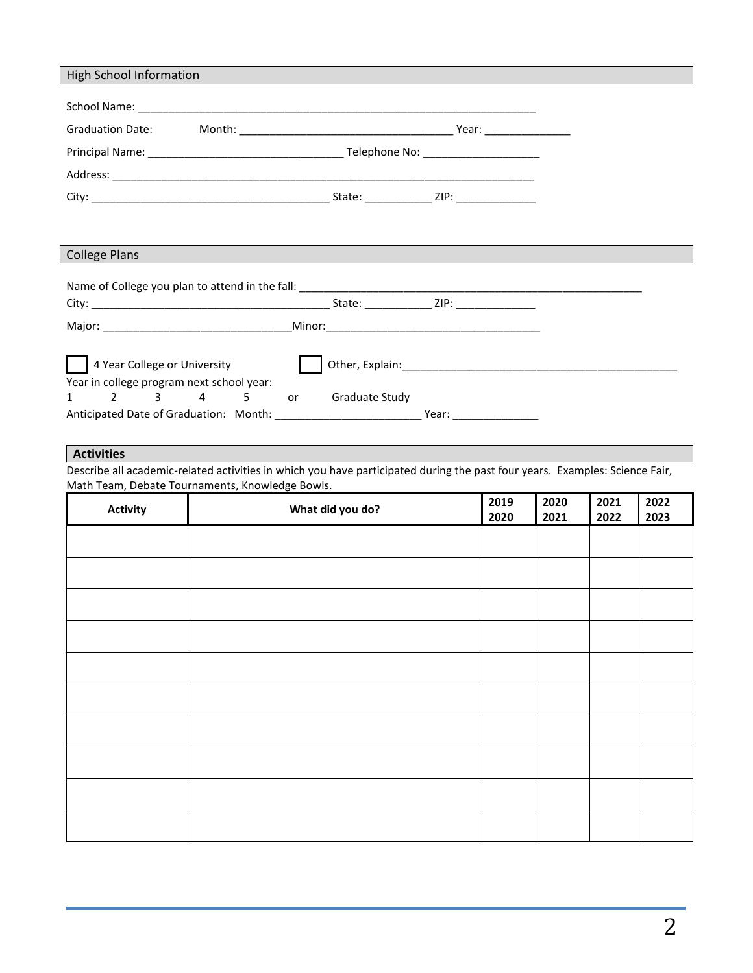| <b>High School Information</b>            |                       |  |
|-------------------------------------------|-----------------------|--|
|                                           |                       |  |
|                                           |                       |  |
|                                           |                       |  |
|                                           |                       |  |
|                                           |                       |  |
|                                           |                       |  |
|                                           |                       |  |
|                                           |                       |  |
| <b>College Plans</b>                      |                       |  |
|                                           |                       |  |
|                                           |                       |  |
|                                           |                       |  |
|                                           |                       |  |
|                                           |                       |  |
| 4 Year College or University              |                       |  |
| Year in college program next school year: |                       |  |
| 1 2 3 4 5 or                              | <b>Graduate Study</b> |  |
|                                           |                       |  |

## **Activities**

Describe all academic-related activities in which you have participated during the past four years. Examples: Science Fair, Math Team, Debate Tournaments, Knowledge Bowls.

| <b>Activity</b> | What did you do? | 2019<br>2020 | 2020<br>2021 | 2021<br>2022 | 2022<br>2023 |
|-----------------|------------------|--------------|--------------|--------------|--------------|
|                 |                  |              |              |              |              |
|                 |                  |              |              |              |              |
|                 |                  |              |              |              |              |
|                 |                  |              |              |              |              |
|                 |                  |              |              |              |              |
|                 |                  |              |              |              |              |
|                 |                  |              |              |              |              |
|                 |                  |              |              |              |              |
|                 |                  |              |              |              |              |
|                 |                  |              |              |              |              |